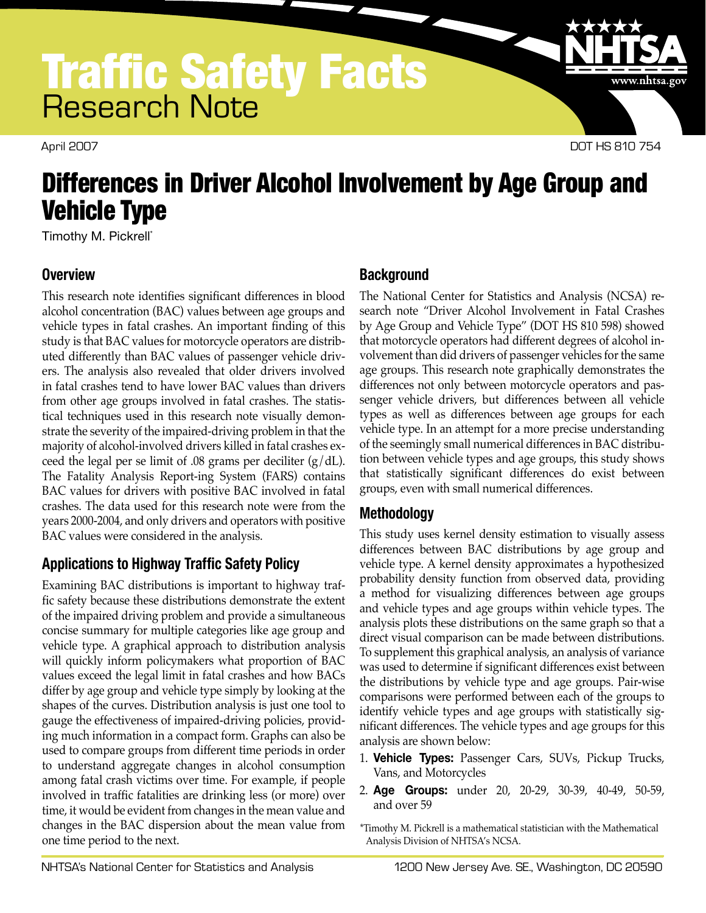

April 2007 DOT HS 810 754

www.nhtsa.gov

# Differences in Driver Alcohol Involvement by Age Group and Vehicle Type

Timothy M. Pickrell\*

# **Overview**

This research note identifies significant differences in blood alcohol concentration (BAC) values between age groups and vehicle types in fatal crashes. An important finding of this study is that BAC values for motorcycle operators are distributed differently than BAC values of passenger vehicle drivers. The analysis also revealed that older drivers involved in fatal crashes tend to have lower BAC values than drivers from other age groups involved in fatal crashes. The statistical techniques used in this research note visually demonstrate the severity of the impaired-driving problem in that the majority of alcohol-involved drivers killed in fatal crashes exceed the legal per se limit of .08 grams per deciliter  $(g/dL)$ . The Fatality Analysis Report-ing System (FARS) contains BAC values for drivers with positive BAC involved in fatal crashes. The data used for this research note were from the years 2000-2004, and only drivers and operators with positive BAC values were considered in the analysis.

# **Applications to Highway Traffic Safety Policy**

Examining BAC distributions is important to highway traffic safety because these distributions demonstrate the extent of the impaired driving problem and provide a simultaneous concise summary for multiple categories like age group and vehicle type. A graphical approach to distribution analysis will quickly inform policymakers what proportion of BAC values exceed the legal limit in fatal crashes and how BACs differ by age group and vehicle type simply by looking at the shapes of the curves. Distribution analysis is just one tool to gauge the effectiveness of impaired-driving policies, providing much information in a compact form. Graphs can also be used to compare groups from different time periods in order to understand aggregate changes in alcohol consumption among fatal crash victims over time. For example, if people involved in traffic fatalities are drinking less (or more) over time, it would be evident from changes in the mean value and changes in the BAC dispersion about the mean value from one time period to the next.

# **Background**

The National Center for Statistics and Analysis (NCSA) research note "Driver Alcohol Involvement in Fatal Crashes by Age Group and Vehicle Type" (DOT HS 810 598) showed that motorcycle operators had different degrees of alcohol involvement than did drivers of passenger vehicles for the same age groups. This research note graphically demonstrates the differences not only between motorcycle operators and passenger vehicle drivers, but differences between all vehicle types as well as differences between age groups for each vehicle type. In an attempt for a more precise understanding of the seemingly small numerical differences in BAC distribution between vehicle types and age groups, this study shows that statistically significant differences do exist between groups, even with small numerical differences.

# **Methodology**

This study uses kernel density estimation to visually assess differences between BAC distributions by age group and vehicle type. A kernel density approximates a hypothesized probability density function from observed data, providing a method for visualizing differences between age groups and vehicle types and age groups within vehicle types. The analysis plots these distributions on the same graph so that a direct visual comparison can be made between distributions. To supplement this graphical analysis, an analysis of variance was used to determine if significant differences exist between the distributions by vehicle type and age groups. Pair-wise comparisons were performed between each of the groups to identify vehicle types and age groups with statistically significant differences. The vehicle types and age groups for this analysis are shown below:

- 1. **Vehicle Types:** Passenger Cars, SUVs, Pickup Trucks, Vans, and Motorcycles
- 2. **Age Groups:** under 20, 20-29, 30-39, 40-49, 50-59, and over 59

\*Timothy M. Pickrell is a mathematical statistician with the Mathematical Analysis Division of NHTSA's NCSA.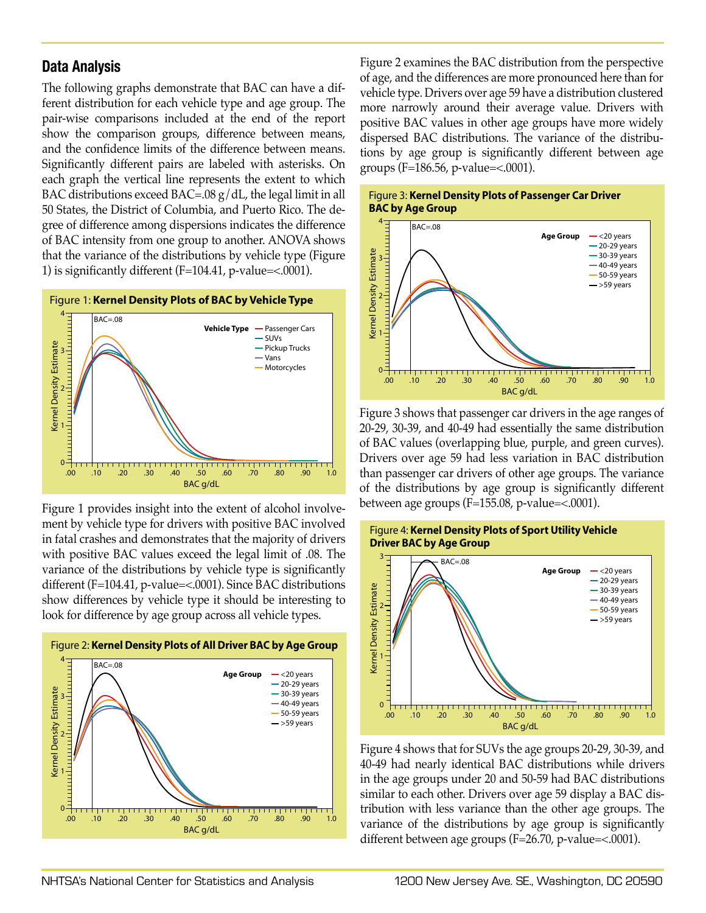### **Data Analysis**

The following graphs demonstrate that BAC can have a different distribution for each vehicle type and age group. The pair-wise comparisons included at the end of the report show the comparison groups, difference between means, and the confidence limits of the difference between means. Significantly different pairs are labeled with asterisks. On each graph the vertical line represents the extent to which BAC distributions exceed BAC=.08 g/dL, the legal limit in all 50 States, the District of Columbia, and Puerto Rico. The degree of difference among dispersions indicates the difference of BAC intensity from one group to another. ANOVA shows that the variance of the distributions by vehicle type (Figure 1) is significantly different  $(F=104.41, p-value=<.0001)$ .



Figure 1 provides insight into the extent of alcohol involvement by vehicle type for drivers with positive BAC involved in fatal crashes and demonstrates that the majority of drivers with positive BAC values exceed the legal limit of .08. The variance of the distributions by vehicle type is significantly different (F=104.41, p-value=<.0001). Since BAC distributions show differences by vehicle type it should be interesting to look for difference by age group across all vehicle types.



Figure 2 examines the BAC distribution from the perspective of age, and the differences are more pronounced here than for vehicle type. Drivers over age 59 have a distribution clustered more narrowly around their average value. Drivers with positive BAC values in other age groups have more widely dispersed BAC distributions. The variance of the distributions by age group is significantly different between age groups (F=186.56, p-value=<.0001).





Figure 3 shows that passenger car drivers in the age ranges of 20-29, 30-39, and 40-49 had essentially the same distribution of BAC values (overlapping blue, purple, and green curves). Drivers over age 59 had less variation in BAC distribution than passenger car drivers of other age groups. The variance of the distributions by age group is significantly different between age groups (F=155.08, p-value=<.0001).





Figure 4 shows that for SUVs the age groups 20-29, 30-39, and 40-49 had nearly identical BAC distributions while drivers in the age groups under 20 and 50-59 had BAC distributions similar to each other. Drivers over age 59 display a BAC distribution with less variance than the other age groups. The variance of the distributions by age group is significantly different between age groups (F=26.70, p-value=<.0001).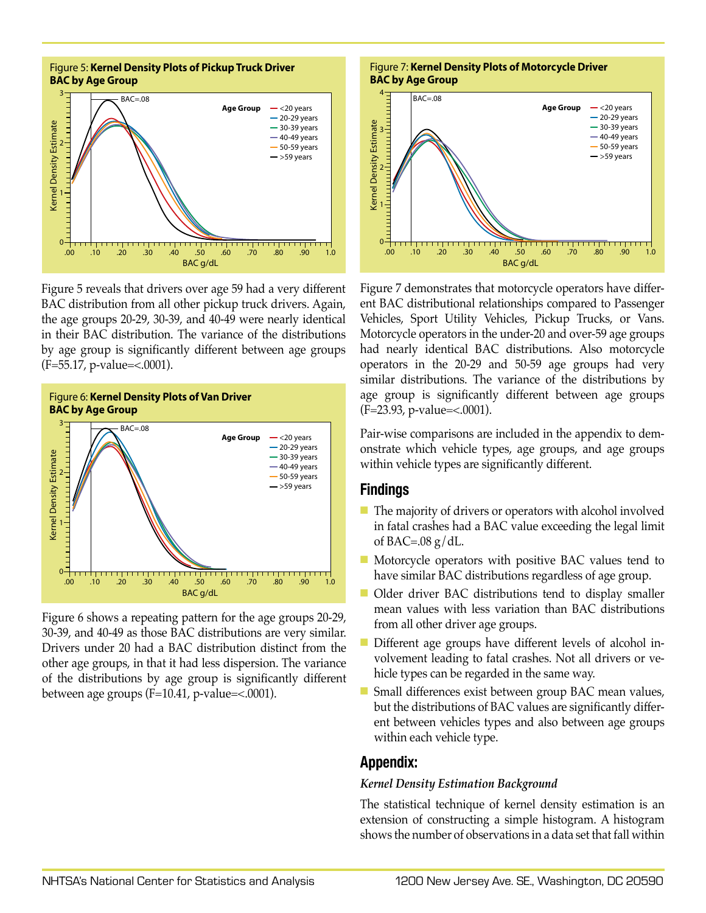

Figure 5 reveals that drivers over age 59 had a very different BAC distribution from all other pickup truck drivers. Again, the age groups 20-29, 30-39, and 40-49 were nearly identical in their BAC distribution. The variance of the distributions by age group is significantly different between age groups (F=55.17, p-value=<.0001).



Figure 6 shows a repeating pattern for the age groups 20-29, 30-39, and 40-49 as those BAC distributions are very similar. Drivers under 20 had a BAC distribution distinct from the other age groups, in that it had less dispersion. The variance of the distributions by age group is significantly different between age groups (F=10.41, p-value=<.0001).





Figure 7 demonstrates that motorcycle operators have different BAC distributional relationships compared to Passenger Vehicles, Sport Utility Vehicles, Pickup Trucks, or Vans. Motorcycle operators in the under-20 and over-59 age groups had nearly identical BAC distributions. Also motorcycle operators in the 20-29 and 50-59 age groups had very similar distributions. The variance of the distributions by age group is significantly different between age groups (F=23.93, p-value=<.0001).

Pair-wise comparisons are included in the appendix to demonstrate which vehicle types, age groups, and age groups within vehicle types are significantly different.

### **Findings**

- $\blacksquare$  The majority of drivers or operators with alcohol involved in fatal crashes had a BAC value exceeding the legal limit of BAC=.08  $g/dL$ .
- $\blacksquare$  Motorcycle operators with positive BAC values tend to have similar BAC distributions regardless of age group.
- n Older driver BAC distributions tend to display smaller mean values with less variation than BAC distributions from all other driver age groups.
- Different age groups have different levels of alcohol involvement leading to fatal crashes. Not all drivers or vehicle types can be regarded in the same way.
- $\blacksquare$  Small differences exist between group BAC mean values, but the distributions of BAC values are significantly different between vehicles types and also between age groups within each vehicle type.

### **Appendix:**

#### *Kernel Density Estimation Background*

The statistical technique of kernel density estimation is an extension of constructing a simple histogram. A histogram shows the number of observations in a data set that fall within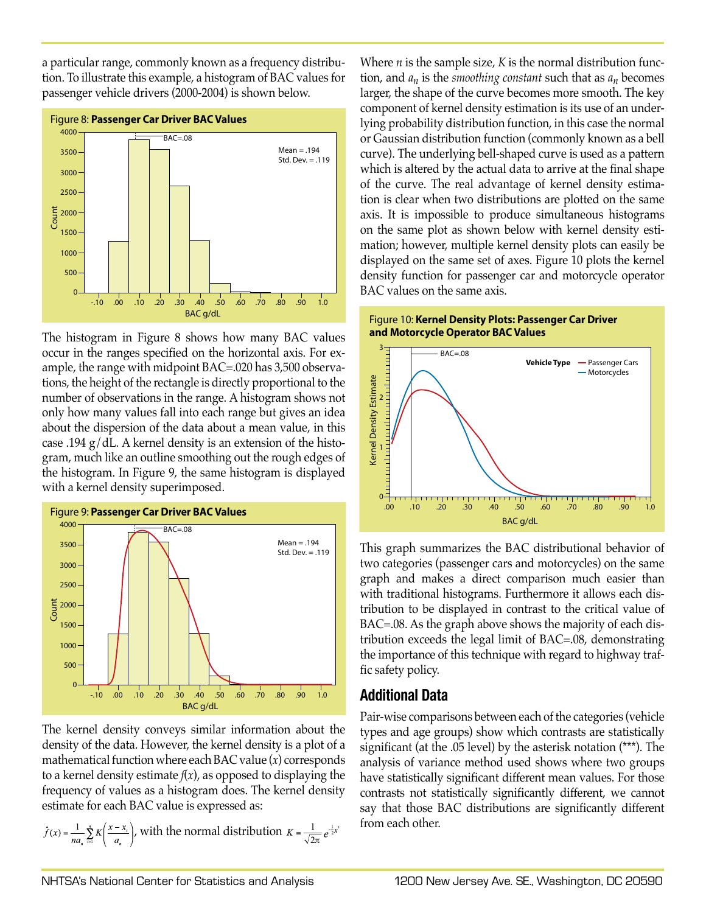a particular range, commonly known as a frequency distribution. To illustrate this example, a histogram of BAC values for passenger vehicle drivers (2000-2004) is shown below.



The histogram in Figure 8 shows how many BAC values occur in the ranges specified on the horizontal axis. For example, the range with midpoint BAC=.020 has 3,500 observations, the height of the rectangle is directly proportional to the number of observations in the range. A histogram shows not only how many values fall into each range but gives an idea about the dispersion of the data about a mean value, in this case .194  $g/dL$ . A kernel density is an extension of the histogram, much like an outline smoothing out the rough edges of the histogram. In Figure 9, the same histogram is displayed with a kernel density superimposed.



The kernel density conveys similar information about the density of the data. However, the kernel density is a plot of a mathematical function where each BAC value (*x*) corresponds to a kernel density estimate *f*(*x*), as opposed to displaying the frequency of values as a histogram does. The kernel density estimate for each BAC value is expressed as:

$$
\hat{f}(x) = \frac{1}{na_n} \sum_{i=1}^{n} K\left(\frac{x - x_i}{a_n}\right),
$$
 with the normal distribution  $K = \frac{1}{\sqrt{2\pi}} e^{\frac{1}{2}x^2}$ 

Where *n* is the sample size, *K* is the normal distribution function, and *an* is the *smoothing constant* such that as *an* becomes larger, the shape of the curve becomes more smooth. The key component of kernel density estimation is its use of an underlying probability distribution function, in this case the normal or Gaussian distribution function (commonly known as a bell curve). The underlying bell-shaped curve is used as a pattern which is altered by the actual data to arrive at the final shape of the curve. The real advantage of kernel density estimation is clear when two distributions are plotted on the same axis. It is impossible to produce simultaneous histograms on the same plot as shown below with kernel density estimation; however, multiple kernel density plots can easily be displayed on the same set of axes. Figure 10 plots the kernel density function for passenger car and motorcycle operator BAC values on the same axis.





This graph summarizes the BAC distributional behavior of two categories (passenger cars and motorcycles) on the same graph and makes a direct comparison much easier than with traditional histograms. Furthermore it allows each distribution to be displayed in contrast to the critical value of BAC=.08. As the graph above shows the majority of each distribution exceeds the legal limit of BAC=.08, demonstrating the importance of this technique with regard to highway traffic safety policy.

# **Additional Data**

Pair-wise comparisons between each of the categories (vehicle types and age groups) show which contrasts are statistically significant (at the .05 level) by the asterisk notation (\*\*\*). The analysis of variance method used shows where two groups have statistically significant different mean values. For those contrasts not statistically significantly different, we cannot say that those BAC distributions are significantly different from each other.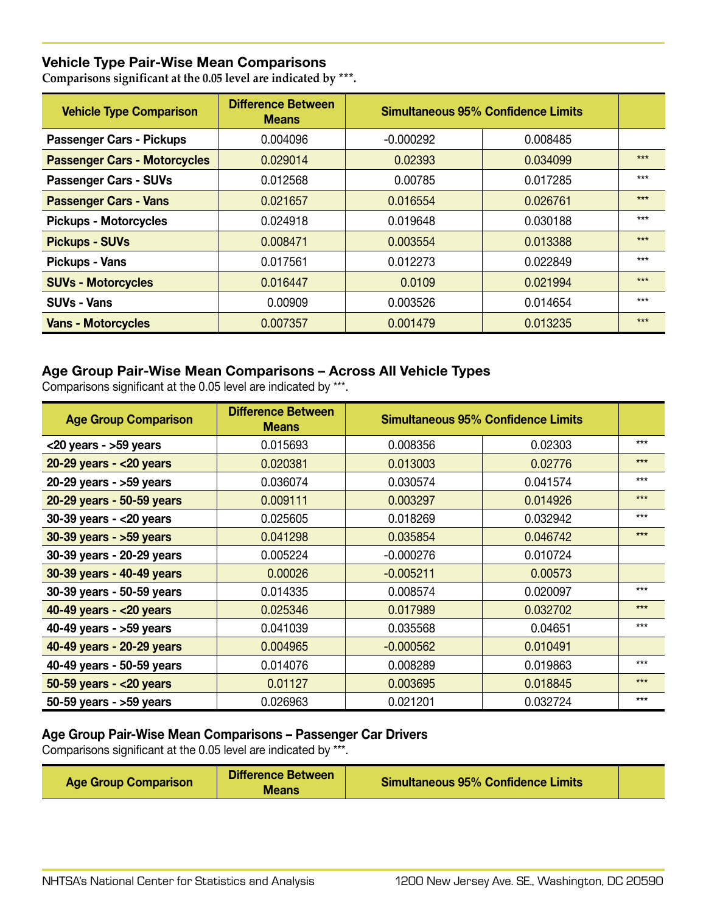### **Vehicle Type Pair-Wise Mean Comparisons**

**Comparisons significant at the 0.05 level are indicated by \*\*\*.**

| <b>Vehicle Type Comparison</b>      | <b>Difference Between</b><br><b>Means</b> | <b>Simultaneous 95% Confidence Limits</b> |          |       |
|-------------------------------------|-------------------------------------------|-------------------------------------------|----------|-------|
| <b>Passenger Cars - Pickups</b>     | 0.004096                                  | $-0.000292$                               | 0.008485 |       |
| <b>Passenger Cars - Motorcycles</b> | 0.029014                                  | 0.02393                                   | 0.034099 | $***$ |
| <b>Passenger Cars - SUVs</b>        | 0.012568                                  | 0.00785                                   | 0.017285 | $***$ |
| <b>Passenger Cars - Vans</b>        | 0.021657                                  | 0.016554                                  | 0.026761 | $***$ |
| <b>Pickups - Motorcycles</b>        | 0.024918                                  | 0.019648                                  | 0.030188 | $***$ |
| <b>Pickups - SUVs</b>               | 0.008471                                  | 0.003554                                  | 0.013388 | $***$ |
| <b>Pickups - Vans</b>               | 0.017561                                  | 0.012273                                  | 0.022849 | $***$ |
| <b>SUVs - Motorcycles</b>           | 0.016447                                  | 0.0109                                    | 0.021994 | $***$ |
| <b>SUVs - Vans</b>                  | 0.00909                                   | 0.003526                                  | 0.014654 | $***$ |
| <b>Vans - Motorcycles</b>           | 0.007357                                  | 0.001479                                  | 0.013235 | $***$ |

### **Age Group Pair-Wise Mean Comparisons – Across All Vehicle Types**

Comparisons significant at the 0.05 level are indicated by \*\*\*.

| <b>Age Group Comparison</b>  | <b>Difference Between</b><br><b>Means</b> |             | <b>Simultaneous 95% Confidence Limits</b> |       |
|------------------------------|-------------------------------------------|-------------|-------------------------------------------|-------|
| $<$ 20 years - >59 years     | 0.015693                                  | 0.008356    | 0.02303                                   | $***$ |
| $20-29$ years - $<$ 20 years | 0.020381                                  | 0.013003    | 0.02776                                   | $***$ |
| 20-29 years - >59 years      | 0.036074                                  | 0.030574    | 0.041574                                  | $***$ |
| 20-29 years - 50-59 years    | 0.009111                                  | 0.003297    | 0.014926                                  | $***$ |
| $30-39$ years - <20 years    | 0.025605                                  | 0.018269    | 0.032942                                  | $***$ |
| $30-39$ years - $>59$ years  | 0.041298                                  | 0.035854    | 0.046742                                  | $***$ |
| 30-39 years - 20-29 years    | 0.005224                                  | $-0.000276$ | 0.010724                                  |       |
| 30-39 years - 40-49 years    | 0.00026                                   | $-0.005211$ | 0.00573                                   |       |
| 30-39 years - 50-59 years    | 0.014335                                  | 0.008574    | 0.020097                                  | $***$ |
| 40-49 years - < 20 years     | 0.025346                                  | 0.017989    | 0.032702                                  | $***$ |
| 40-49 years - >59 years      | 0.041039                                  | 0.035568    | 0.04651                                   | $***$ |
| 40-49 years - 20-29 years    | 0.004965                                  | $-0.000562$ | 0.010491                                  |       |
| 40-49 years - 50-59 years    | 0.014076                                  | 0.008289    | 0.019863                                  | $***$ |
| $50-59$ years - $<$ 20 years | 0.01127                                   | 0.003695    | 0.018845                                  | $***$ |
| $50-59$ years - $>59$ years  | 0.026963                                  | 0.021201    | 0.032724                                  | $***$ |

### **Age Group Pair-Wise Mean Comparisons – Passenger Car Drivers**

Comparisons significant at the 0.05 level are indicated by \*\*\*.

|--|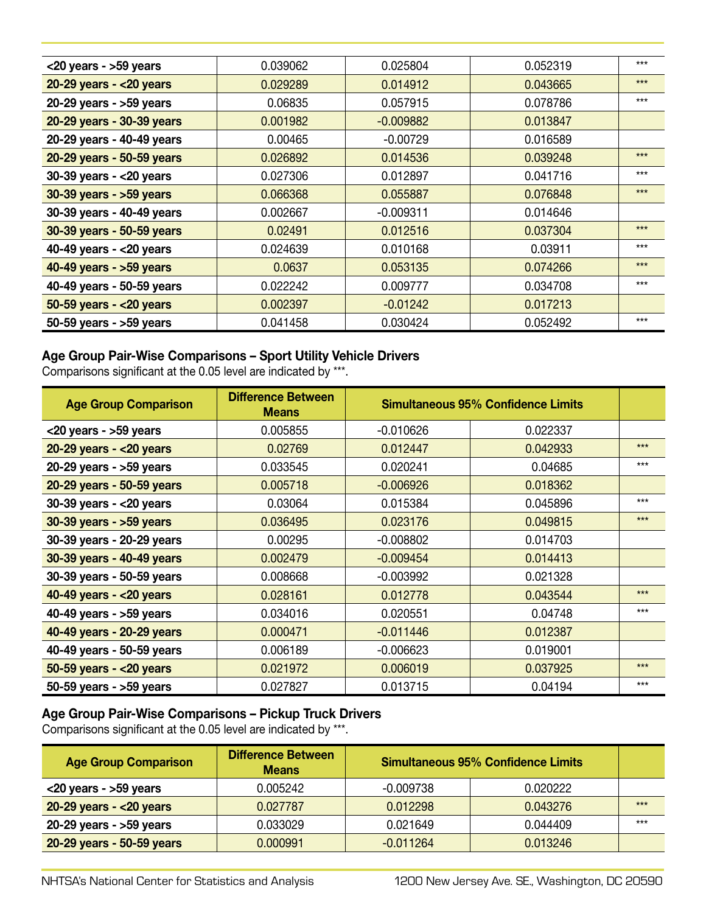| $<$ 20 years - >59 years     | 0.039062 | 0.025804    | 0.052319 | $***$ |
|------------------------------|----------|-------------|----------|-------|
| $20-29$ years - $<$ 20 years | 0.029289 | 0.014912    | 0.043665 | $***$ |
| 20-29 years - $>59$ years    | 0.06835  | 0.057915    | 0.078786 | $***$ |
| 20-29 years - 30-39 years    | 0.001982 | $-0.009882$ | 0.013847 |       |
| 20-29 years - 40-49 years    | 0.00465  | $-0.00729$  | 0.016589 |       |
| 20-29 years - 50-59 years    | 0.026892 | 0.014536    | 0.039248 | $***$ |
| $30-39$ years - $<$ 20 years | 0.027306 | 0.012897    | 0.041716 | $***$ |
| 30-39 years - >59 years      | 0.066368 | 0.055887    | 0.076848 | $***$ |
| 30-39 years - 40-49 years    | 0.002667 | $-0.009311$ | 0.014646 |       |
| 30-39 years - 50-59 years    | 0.02491  | 0.012516    | 0.037304 | $***$ |
| 40-49 years - $<$ 20 years   | 0.024639 | 0.010168    | 0.03911  | $***$ |
| 40-49 years - >59 years      | 0.0637   | 0.053135    | 0.074266 | $***$ |
| 40-49 years - 50-59 years    | 0.022242 | 0.009777    | 0.034708 | $***$ |
| $50-59$ years - $<$ 20 years | 0.002397 | $-0.01242$  | 0.017213 |       |
| $50-59$ years - $>59$ years  | 0.041458 | 0.030424    | 0.052492 | $***$ |

### **Age Group Pair-Wise Comparisons – Sport Utility Vehicle Drivers**

Comparisons significant at the 0.05 level are indicated by \*\*\*.

| <b>Age Group Comparison</b>  | <b>Difference Between</b><br><b>Means</b> |             | <b>Simultaneous 95% Confidence Limits</b> |       |
|------------------------------|-------------------------------------------|-------------|-------------------------------------------|-------|
| $<$ 20 years - >59 years     | 0.005855                                  | $-0.010626$ | 0.022337                                  |       |
| $20-29$ years - $<$ 20 years | 0.02769                                   | 0.012447    | 0.042933                                  | $***$ |
| 20-29 years - >59 years      | 0.033545                                  | 0.020241    | 0.04685                                   | $***$ |
| 20-29 years - 50-59 years    | 0.005718                                  | $-0.006926$ | 0.018362                                  |       |
| $30-39$ years - $<$ 20 years | 0.03064                                   | 0.015384    | 0.045896                                  | $***$ |
| $30-39$ years - $>59$ years  | 0.036495                                  | 0.023176    | 0.049815                                  | $***$ |
| 30-39 years - 20-29 years    | 0.00295                                   | $-0.008802$ | 0.014703                                  |       |
| 30-39 years - 40-49 years    | 0.002479                                  | $-0.009454$ | 0.014413                                  |       |
| 30-39 years - 50-59 years    | 0.008668                                  | $-0.003992$ | 0.021328                                  |       |
| 40-49 years - $<$ 20 years   | 0.028161                                  | 0.012778    | 0.043544                                  | $***$ |
| 40-49 years - >59 years      | 0.034016                                  | 0.020551    | 0.04748                                   | $***$ |
| 40-49 years - 20-29 years    | 0.000471                                  | $-0.011446$ | 0.012387                                  |       |
| 40-49 years - 50-59 years    | 0.006189                                  | $-0.006623$ | 0.019001                                  |       |
| $50-59$ years - $<$ 20 years | 0.021972                                  | 0.006019    | 0.037925                                  | $***$ |
| $50-59$ years - $>59$ years  | 0.027827                                  | 0.013715    | 0.04194                                   | $***$ |

# **Age Group Pair-Wise Comparisons – Pickup Truck Drivers**

Comparisons significant at the 0.05 level are indicated by \*\*\*.

| <b>Age Group Comparison</b>  | <b>Difference Between</b><br><b>Means</b> | <b>Simultaneous 95% Confidence Limits</b> |          |       |
|------------------------------|-------------------------------------------|-------------------------------------------|----------|-------|
| $<$ 20 years - $>$ 59 years  | 0.005242                                  | $-0.009738$                               | 0.020222 |       |
| $20-29$ years - $<$ 20 years | 0.027787                                  | 0.012298                                  | 0.043276 | $***$ |
| $20-29$ years - $>59$ years  | 0.033029                                  | 0.021649                                  | 0.044409 | $***$ |
| 20-29 years - 50-59 years    | 0.000991                                  | $-0.011264$                               | 0.013246 |       |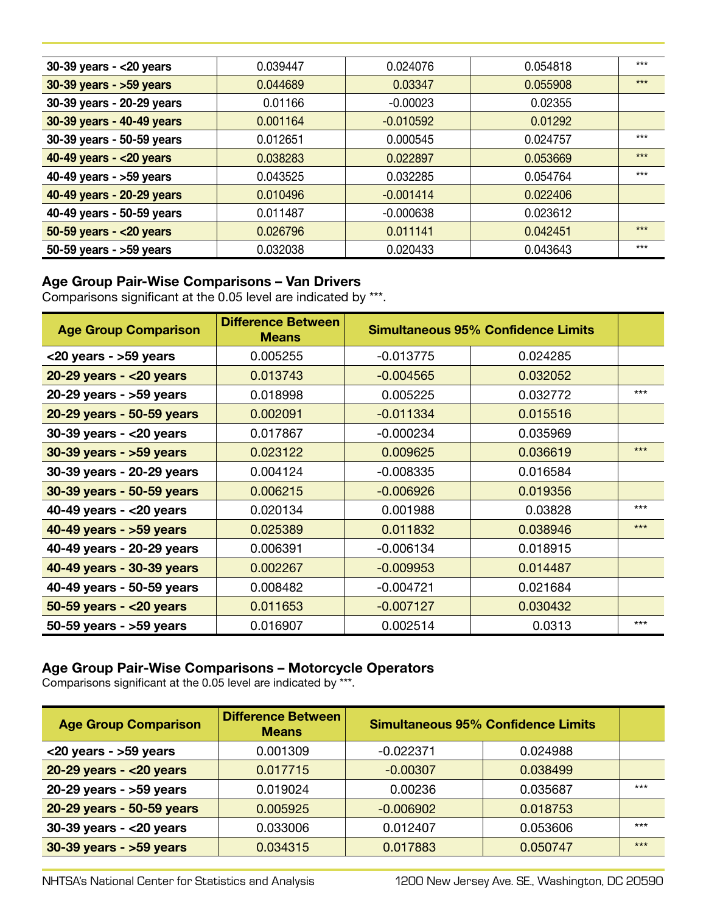| $30-39$ years - <20 years    | 0.039447 | 0.024076    | 0.054818 | $***$ |
|------------------------------|----------|-------------|----------|-------|
| 30-39 years - >59 years      | 0.044689 | 0.03347     | 0.055908 | $***$ |
| 30-39 years - 20-29 years    | 0.01166  | $-0.00023$  | 0.02355  |       |
| 30-39 years - 40-49 years    | 0.001164 | $-0.010592$ | 0.01292  |       |
| 30-39 years - 50-59 years    | 0.012651 | 0.000545    | 0.024757 | $***$ |
| 40-49 years - $<$ 20 years   | 0.038283 | 0.022897    | 0.053669 | $***$ |
| 40-49 years - >59 years      | 0.043525 | 0.032285    | 0.054764 | $***$ |
| 40-49 years - 20-29 years    | 0.010496 | $-0.001414$ | 0.022406 |       |
| 40-49 years - 50-59 years    | 0.011487 | $-0.000638$ | 0.023612 |       |
| $50-59$ years - $<$ 20 years | 0.026796 | 0.011141    | 0.042451 | $***$ |
| $50-59$ years - $>59$ years  | 0.032038 | 0.020433    | 0.043643 | $***$ |

### **Age Group Pair-Wise Comparisons – Van Drivers**

Comparisons significant at the 0.05 level are indicated by \*\*\*.

| <b>Age Group Comparison</b>  | <b>Difference Between</b><br><b>Means</b> |             | <b>Simultaneous 95% Confidence Limits</b> |       |
|------------------------------|-------------------------------------------|-------------|-------------------------------------------|-------|
| $<$ 20 years - >59 years     | 0.005255                                  | $-0.013775$ | 0.024285                                  |       |
| $20-29$ years - $<$ 20 years | 0.013743                                  | $-0.004565$ | 0.032052                                  |       |
| $20-29$ years - $>59$ years  | 0.018998                                  | 0.005225    | 0.032772                                  | $***$ |
| 20-29 years - 50-59 years    | 0.002091                                  | $-0.011334$ | 0.015516                                  |       |
| $30-39$ years - $<$ 20 years | 0.017867                                  | $-0.000234$ | 0.035969                                  |       |
| $30-39$ years - $>59$ years  | 0.023122                                  | 0.009625    | 0.036619                                  | $***$ |
| 30-39 years - 20-29 years    | 0.004124                                  | $-0.008335$ | 0.016584                                  |       |
| 30-39 years - 50-59 years    | 0.006215                                  | $-0.006926$ | 0.019356                                  |       |
| 40-49 years - $<$ 20 years   | 0.020134                                  | 0.001988    | 0.03828                                   | $***$ |
| 40-49 years - >59 years      | 0.025389                                  | 0.011832    | 0.038946                                  | $***$ |
| 40-49 years - 20-29 years    | 0.006391                                  | $-0.006134$ | 0.018915                                  |       |
| 40-49 years - 30-39 years    | 0.002267                                  | $-0.009953$ | 0.014487                                  |       |
| 40-49 years - 50-59 years    | 0.008482                                  | $-0.004721$ | 0.021684                                  |       |
| $50-59$ years - $<$ 20 years | 0.011653                                  | $-0.007127$ | 0.030432                                  |       |
| $50-59$ years - $>59$ years  | 0.016907                                  | 0.002514    | 0.0313                                    | $***$ |

# **Age Group Pair-Wise Comparisons – Motorcycle Operators**

Comparisons significant at the 0.05 level are indicated by \*\*\*.

| <b>Age Group Comparison</b>  | <b>Difference Between</b><br><b>Means</b> |             | <b>Simultaneous 95% Confidence Limits</b> |       |
|------------------------------|-------------------------------------------|-------------|-------------------------------------------|-------|
| $<$ 20 years - $>$ 59 years  | 0.001309                                  | $-0.022371$ | 0.024988                                  |       |
| $20-29$ years - < 20 years   | 0.017715                                  | $-0.00307$  | 0.038499                                  |       |
| $20-29$ years - $>59$ years  | 0.019024                                  | 0.00236     | 0.035687                                  | $***$ |
| 20-29 years - 50-59 years    | 0.005925                                  | $-0.006902$ | 0.018753                                  |       |
| $30-39$ years - $<$ 20 years | 0.033006                                  | 0.012407    | 0.053606                                  | $***$ |
| 30-39 years - >59 years      | 0.034315                                  | 0.017883    | 0.050747                                  | $***$ |